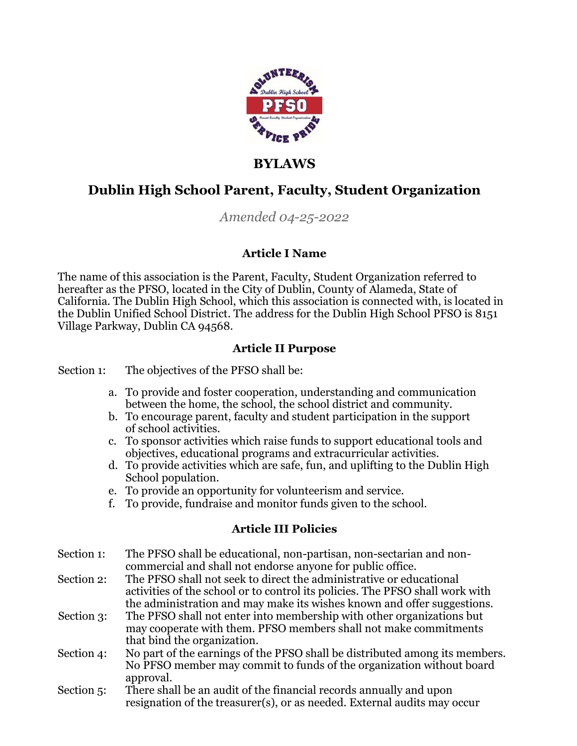

# **BYLAWS**

# **Dublin High School Parent, Faculty, Student Organization**

## *Amended 04-25-2022*

### **Article I Name**

The name of this association is the Parent, Faculty, Student Organization referred to hereafter as the PFSO, located in the City of Dublin, County of Alameda, State of California. The Dublin High School, which this association is connected with, is located in the Dublin Unified School District. The address for the Dublin High School PFSO is 8151 Village Parkway, Dublin CA 94568.

### **Article II Purpose**

Section 1: The objectives of the PFSO shall be:

- a. To provide and foster cooperation, understanding and communication between the home, the school, the school district and community.
- b. To encourage parent, faculty and student participation in the support of school activities.
- c. To sponsor activities which raise funds to support educational tools and objectives, educational programs and extracurricular activities.
- d. To provide activities which are safe, fun, and uplifting to the Dublin High School population.
- e. To provide an opportunity for volunteerism and service.
- f. To provide, fundraise and monitor funds given to the school.

### **Article III Policies**

- Section 1: The PFSO shall be educational, non-partisan, non-sectarian and noncommercial and shall not endorse anyone for public office.
- Section 2: The PFSO shall not seek to direct the administrative or educational activities of the school or to control its policies. The PFSO shall work with the administration and may make its wishes known and offer suggestions.
- Section 3: The PFSO shall not enter into membership with other organizations but may cooperate with them. PFSO members shall not make commitments that bind the organization.
- Section 4: No part of the earnings of the PFSO shall be distributed among its members. No PFSO member may commit to funds of the organization without board approval.
- Section 5: There shall be an audit of the financial records annually and upon resignation of the treasurer(s), or as needed. External audits may occur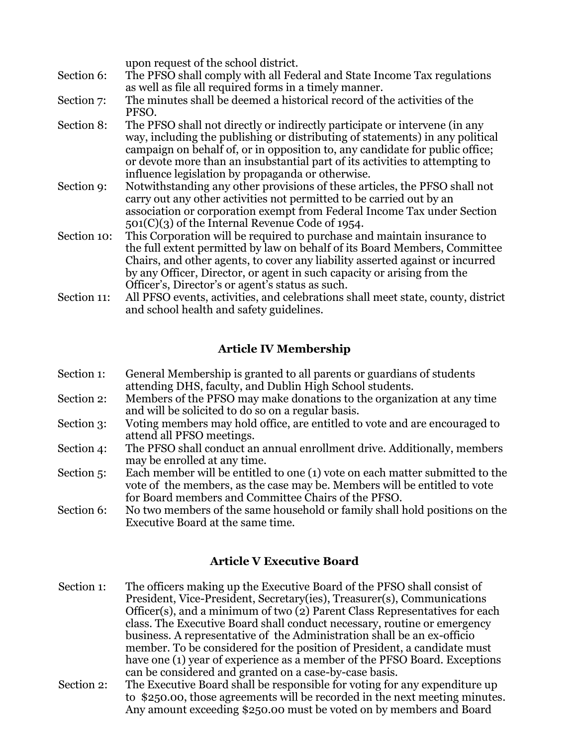|             | upon request of the school district.                                                                                                                        |
|-------------|-------------------------------------------------------------------------------------------------------------------------------------------------------------|
| Section 6:  | The PFSO shall comply with all Federal and State Income Tax regulations                                                                                     |
|             | as well as file all required forms in a timely manner.                                                                                                      |
| Section 7:  | The minutes shall be deemed a historical record of the activities of the                                                                                    |
|             | PFSO.                                                                                                                                                       |
| Section 8:  | The PFSO shall not directly or indirectly participate or intervene (in any<br>way, including the publishing or distributing of statements) in any political |
|             | campaign on behalf of, or in opposition to, any candidate for public office;                                                                                |
|             | or devote more than an insubstantial part of its activities to attempting to                                                                                |
|             | influence legislation by propaganda or otherwise.                                                                                                           |
| Section 9:  | Notwithstanding any other provisions of these articles, the PFSO shall not                                                                                  |
|             | carry out any other activities not permitted to be carried out by an                                                                                        |
|             | association or corporation exempt from Federal Income Tax under Section                                                                                     |
|             | $501(C)(3)$ of the Internal Revenue Code of 1954.                                                                                                           |
| Section 10: | This Corporation will be required to purchase and maintain insurance to                                                                                     |
|             | the full extent permitted by law on behalf of its Board Members, Committee                                                                                  |
|             | Chairs, and other agents, to cover any liability asserted against or incurred                                                                               |
|             | by any Officer, Director, or agent in such capacity or arising from the                                                                                     |
|             | Officer's, Director's or agent's status as such.                                                                                                            |
| Section 11: | All PFSO events, activities, and celebrations shall meet state, county, district                                                                            |
|             | and school health and safety guidelines.                                                                                                                    |

#### **Article IV Membership**

| Section 1: | General Membership is granted to all parents or guardians of students |
|------------|-----------------------------------------------------------------------|
|            | attending DHS, faculty, and Dublin High School students.              |

- Section 2: Members of the PFSO may make donations to the organization at any time and will be solicited to do so on a regular basis.
- Section 3: Voting members may hold office, are entitled to vote and are encouraged to attend all PFSO meetings.
- Section 4: The PFSO shall conduct an annual enrollment drive. Additionally, members may be enrolled at any time.
- Section 5: Each member will be entitled to one (1) vote on each matter submitted to the vote of the members, as the case may be. Members will be entitled to vote for Board members and Committee Chairs of the PFSO.

Section 6: No two members of the same household or family shall hold positions on the Executive Board at the same time.

#### **Article V Executive Board**

- Section 1: The officers making up the Executive Board of the PFSO shall consist of President, Vice-President, Secretary(ies), Treasurer(s), Communications Officer(s), and a minimum of two (2) Parent Class Representatives for each class. The Executive Board shall conduct necessary, routine or emergency business. A representative of the Administration shall be an ex-officio member. To be considered for the position of President, a candidate must have one (1) year of experience as a member of the PFSO Board. Exceptions can be considered and granted on a case-by-case basis.
- Section 2: The Executive Board shall be responsible for voting for any expenditure up to \$250.00, those agreements will be recorded in the next meeting minutes. Any amount exceeding \$250.00 must be voted on by members and Board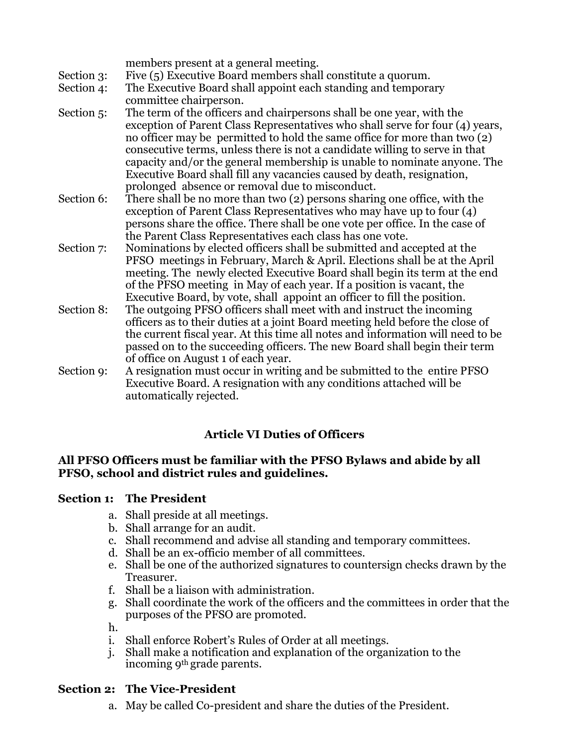|            | members present at a general meeting.                                                                                                                                                                                                                                                                                                                                                                                                                                                                                       |
|------------|-----------------------------------------------------------------------------------------------------------------------------------------------------------------------------------------------------------------------------------------------------------------------------------------------------------------------------------------------------------------------------------------------------------------------------------------------------------------------------------------------------------------------------|
| Section 3: | Five (5) Executive Board members shall constitute a quorum.                                                                                                                                                                                                                                                                                                                                                                                                                                                                 |
| Section 4: | The Executive Board shall appoint each standing and temporary                                                                                                                                                                                                                                                                                                                                                                                                                                                               |
|            | committee chairperson.                                                                                                                                                                                                                                                                                                                                                                                                                                                                                                      |
| Section 5: | The term of the officers and chairpersons shall be one year, with the<br>exception of Parent Class Representatives who shall serve for four (4) years,<br>no officer may be permitted to hold the same office for more than two (2)<br>consecutive terms, unless there is not a candidate willing to serve in that<br>capacity and/or the general membership is unable to nominate anyone. The<br>Executive Board shall fill any vacancies caused by death, resignation,<br>prolonged absence or removal due to misconduct. |
| Section 6: | There shall be no more than two (2) persons sharing one office, with the                                                                                                                                                                                                                                                                                                                                                                                                                                                    |
|            | exception of Parent Class Representatives who may have up to four $(4)$<br>persons share the office. There shall be one vote per office. In the case of<br>the Parent Class Representatives each class has one vote.                                                                                                                                                                                                                                                                                                        |
| Section 7: | Nominations by elected officers shall be submitted and accepted at the                                                                                                                                                                                                                                                                                                                                                                                                                                                      |
|            | PFSO meetings in February, March & April. Elections shall be at the April<br>meeting. The newly elected Executive Board shall begin its term at the end<br>of the PFSO meeting in May of each year. If a position is vacant, the<br>Executive Board, by vote, shall appoint an officer to fill the position.                                                                                                                                                                                                                |
| Section 8: | The outgoing PFSO officers shall meet with and instruct the incoming<br>officers as to their duties at a joint Board meeting held before the close of<br>the current fiscal year. At this time all notes and information will need to be<br>passed on to the succeeding officers. The new Board shall begin their term<br>of office on August 1 of each year.                                                                                                                                                               |
| Section 9: | A resignation must occur in writing and be submitted to the entire PFSO<br>Executive Board. A resignation with any conditions attached will be<br>automatically rejected.                                                                                                                                                                                                                                                                                                                                                   |

### **Article VI Duties of Officers**

#### **All PFSO Officers must be familiar with the PFSO Bylaws and abide by all PFSO, school and district rules and guidelines.**

#### **Section 1: The President**

- a. Shall preside at all meetings.
- b. Shall arrange for an audit.
- c. Shall recommend and advise all standing and temporary committees.
- d. Shall be an ex-officio member of all committees.
- e. Shall be one of the authorized signatures to countersign checks drawn by the Treasurer.
- f. Shall be a liaison with administration.
- g. Shall coordinate the work of the officers and the committees in order that the purposes of the PFSO are promoted.

h.

- i. Shall enforce Robert's Rules of Order at all meetings.
- j. Shall make a notification and explanation of the organization to the incoming 9th grade parents.

#### **Section 2: The Vice-President**

a. May be called Co-president and share the duties of the President.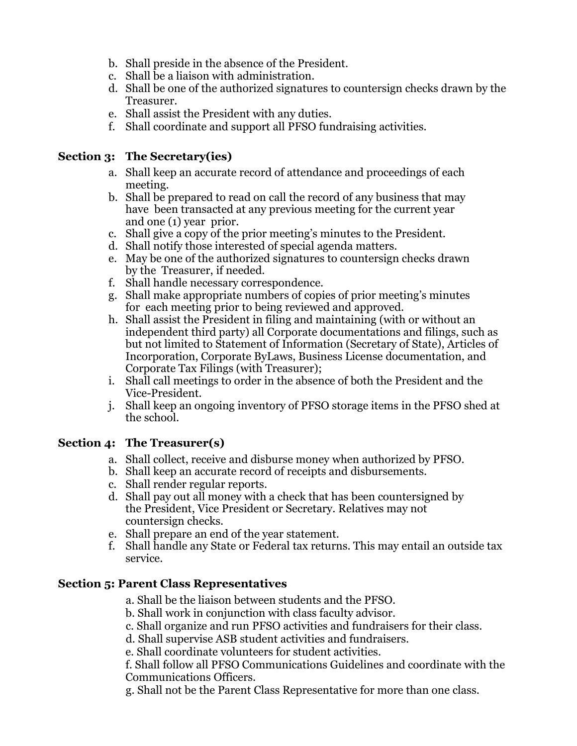- b. Shall preside in the absence of the President.
- c. Shall be a liaison with administration.
- d. Shall be one of the authorized signatures to countersign checks drawn by the Treasurer.
- e. Shall assist the President with any duties.
- f. Shall coordinate and support all PFSO fundraising activities.

#### **Section 3: The Secretary(ies)**

- a. Shall keep an accurate record of attendance and proceedings of each meeting.
- b. Shall be prepared to read on call the record of any business that may have been transacted at any previous meeting for the current year and one (1) year prior.
- c. Shall give a copy of the prior meeting's minutes to the President.
- d. Shall notify those interested of special agenda matters.
- e. May be one of the authorized signatures to countersign checks drawn by the Treasurer, if needed.
- f. Shall handle necessary correspondence.
- g. Shall make appropriate numbers of copies of prior meeting's minutes for each meeting prior to being reviewed and approved.
- h. Shall assist the President in filing and maintaining (with or without an independent third party) all Corporate documentations and filings, such as but not limited to Statement of Information (Secretary of State), Articles of Incorporation, Corporate ByLaws, Business License documentation, and Corporate Tax Filings (with Treasurer);
- i. Shall call meetings to order in the absence of both the President and the Vice-President.
- j. Shall keep an ongoing inventory of PFSO storage items in the PFSO shed at the school.

### **Section 4: The Treasurer(s)**

- a. Shall collect, receive and disburse money when authorized by PFSO.
- b. Shall keep an accurate record of receipts and disbursements.
- c. Shall render regular reports.
- d. Shall pay out all money with a check that has been countersigned by the President, Vice President or Secretary. Relatives may not countersign checks.
- e. Shall prepare an end of the year statement.
- f. Shall handle any State or Federal tax returns. This may entail an outside tax service.

### **Section 5: Parent Class Representatives**

- a. Shall be the liaison between students and the PFSO.
- b. Shall work in conjunction with class faculty advisor.
- c. Shall organize and run PFSO activities and fundraisers for their class.
- d. Shall supervise ASB student activities and fundraisers.

e. Shall coordinate volunteers for student activities.

f. Shall follow all PFSO Communications Guidelines and coordinate with the Communications Officers.

g. Shall not be the Parent Class Representative for more than one class.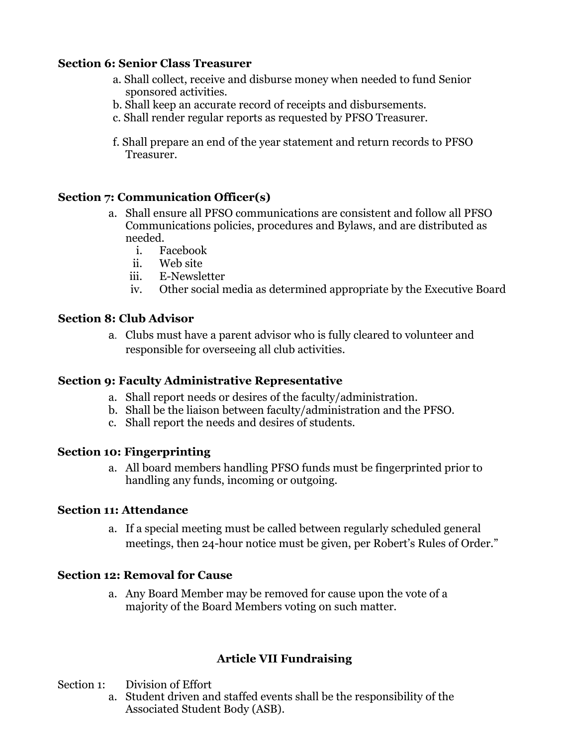#### **Section 6: Senior Class Treasurer**

- a. Shall collect, receive and disburse money when needed to fund Senior sponsored activities.
- b. Shall keep an accurate record of receipts and disbursements.
- c. Shall render regular reports as requested by PFSO Treasurer.
- f. Shall prepare an end of the year statement and return records to PFSO Treasurer.

#### **Section 7: Communication Officer(s)**

- a. Shall ensure all PFSO communications are consistent and follow all PFSO Communications policies, procedures and Bylaws, and are distributed as needed.
	- i. Facebook
	- ii. Web site
	- iii. E-Newsletter
	- iv. Other social media as determined appropriate by the Executive Board

#### **Section 8: Club Advisor**

a. Clubs must have a parent advisor who is fully cleared to volunteer and responsible for overseeing all club activities.

#### **Section 9: Faculty Administrative Representative**

- a. Shall report needs or desires of the faculty/administration.
- b. Shall be the liaison between faculty/administration and the PFSO.
- c. Shall report the needs and desires of students.

#### **Section 10: Fingerprinting**

a. All board members handling PFSO funds must be fingerprinted prior to handling any funds, incoming or outgoing.

#### **Section 11: Attendance**

a. If a special meeting must be called between regularly scheduled general meetings, then 24-hour notice must be given, per Robert's Rules of Order."

#### **Section 12: Removal for Cause**

a. Any Board Member may be removed for cause upon the vote of a majority of the Board Members voting on such matter.

#### **Article VII Fundraising**

- Section 1: Division of Effort
	- a. Student driven and staffed events shall be the responsibility of the Associated Student Body (ASB).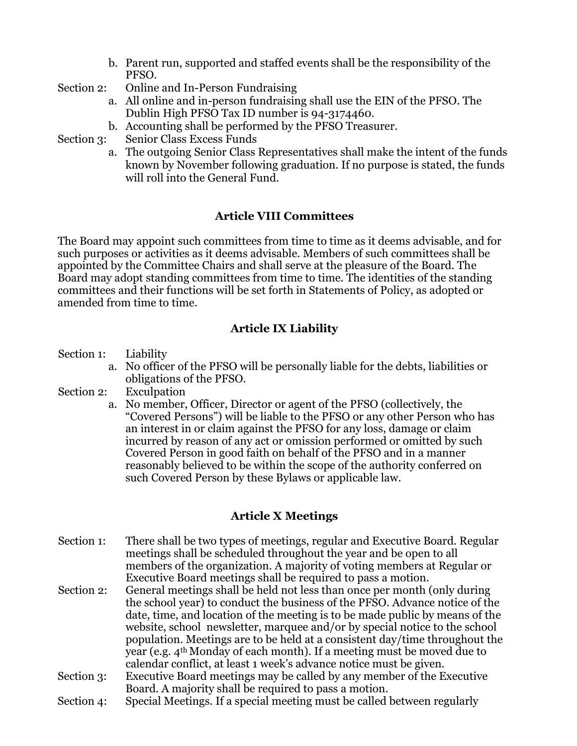- b. Parent run, supported and staffed events shall be the responsibility of the PFSO.
- Section 2: Online and In-Person Fundraising
	- a. All online and in-person fundraising shall use the EIN of the PFSO. The Dublin High PFSO Tax ID number is 94-3174460.
	- b. Accounting shall be performed by the PFSO Treasurer.

Section 3: Senior Class Excess Funds

a. The outgoing Senior Class Representatives shall make the intent of the funds known by November following graduation. If no purpose is stated, the funds will roll into the General Fund.

### **Article VIII Committees**

The Board may appoint such committees from time to time as it deems advisable, and for such purposes or activities as it deems advisable. Members of such committees shall be appointed by the Committee Chairs and shall serve at the pleasure of the Board. The Board may adopt standing committees from time to time. The identities of the standing committees and their functions will be set forth in Statements of Policy, as adopted or amended from time to time.

### **Article IX Liability**

- Section 1: Liability
	- a. No officer of the PFSO will be personally liable for the debts, liabilities or obligations of the PFSO.
- Section 2: Exculpation
	- a. No member, Officer, Director or agent of the PFSO (collectively, the "Covered Persons") will be liable to the PFSO or any other Person who has an interest in or claim against the PFSO for any loss, damage or claim incurred by reason of any act or omission performed or omitted by such Covered Person in good faith on behalf of the PFSO and in a manner reasonably believed to be within the scope of the authority conferred on such Covered Person by these Bylaws or applicable law.

### **Article X Meetings**

- Section 1: There shall be two types of meetings, regular and Executive Board. Regular meetings shall be scheduled throughout the year and be open to all members of the organization. A majority of voting members at Regular or Executive Board meetings shall be required to pass a motion.
- Section 2: General meetings shall be held not less than once per month (only during the school year) to conduct the business of the PFSO. Advance notice of the date, time, and location of the meeting is to be made public by means of the website, school newsletter, marquee and/or by special notice to the school population. Meetings are to be held at a consistent day/time throughout the year (e.g. 4th Monday of each month). If a meeting must be moved due to calendar conflict, at least 1 week's advance notice must be given.
- Section 3: Executive Board meetings may be called by any member of the Executive Board. A majority shall be required to pass a motion.
- Section 4: Special Meetings. If a special meeting must be called between regularly